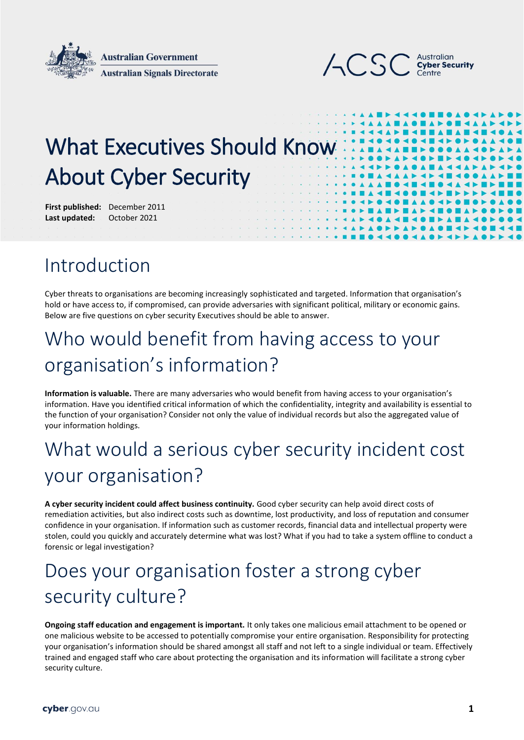



# What Executives Should Know About Cyber Security

**First published:** December 2011 Last updated: October 2021

#### Introduction

Cyber threats to organisations are becoming increasingly sophisticated and targeted. Information that organisation's hold or have access to, if compromised, can provide adversaries with significant political, military or economic gains. Below are five questions on cyber security Executives should be able to answer.

## Who would benefit from having access to your organisation's information?

**Information is valuable.** There are many adversaries who would benefit from having access to your organisation's information. Have you identified critical information of which the confidentiality, integrity and availability is essential to the function of your organisation? Consider not only the value of individual records but also the aggregated value of your information holdings.

## What would a serious cyber security incident cost your organisation?

**A cyber security incident could affect business continuity.** Good cyber security can help avoid direct costs of remediation activities, but also indirect costs such as downtime, lost productivity, and loss of reputation and consumer confidence in your organisation. If information such as customer records, financial data and intellectual property were stolen, could you quickly and accurately determine what was lost? What if you had to take a system offline to conduct a forensic or legal investigation?

## Does your organisation foster a strong cyber security culture?

**Ongoing staff education and engagement is important.** It only takes one malicious email attachment to be opened or one malicious website to be accessed to potentially compromise your entire organisation. Responsibility for protecting your organisation's information should be shared amongst all staff and not left to a single individual or team. Effectively trained and engaged staff who care about protecting the organisation and its information will facilitate a strong cyber security culture.